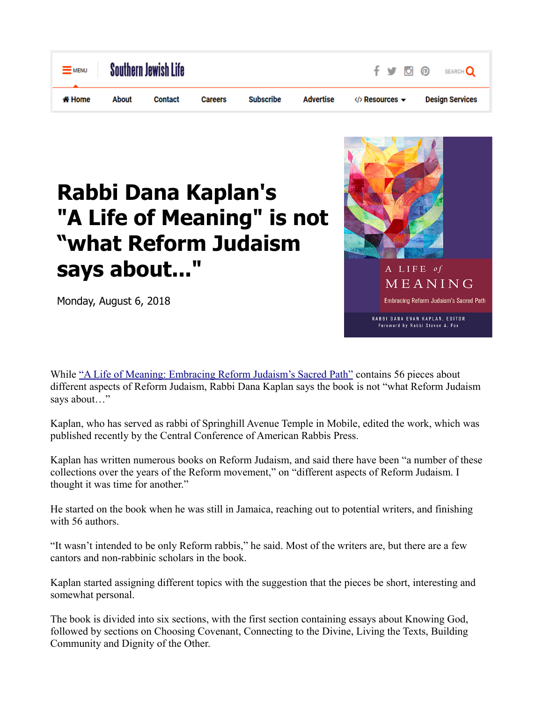

## **Rabbi Dana Kaplan's "A Life of Meaning" is not "what Reform Judaism says about..."**

Monday, August 6, 2018



While ["A Life of Meaning: Embracing Reform Judaism's Sacred Path"](https://www.amazon.com/gp/product/0881233137/ref=as_li_tl?ie=UTF8&tag=deepsouthjewishv&camp=1789&creative=9325&linkCode=as2&creativeASIN=0881233137&linkId=7e04fac7a7490facdf6afab5edcc0ae3) contains 56 pieces about different aspects of Reform Judaism, Rabbi Dana Kaplan says the book is not "what Reform Judaism says about…"

Kaplan, who has served as rabbi of Springhill Avenue Temple in Mobile, edited the work, which was published recently by the Central Conference of American Rabbis Press.

Kaplan has written numerous books on Reform Judaism, and said there have been "a number of these collections over the years of the Reform movement," on "different aspects of Reform Judaism. I thought it was time for another."

He started on the book when he was still in Jamaica, reaching out to potential writers, and finishing with 56 authors.

"It wasn't intended to be only Reform rabbis," he said. Most of the writers are, but there are a few cantors and non-rabbinic scholars in the book.

Kaplan started assigning different topics with the suggestion that the pieces be short, interesting and somewhat personal.

The book is divided into six sections, with the first section containing essays about Knowing God, followed by sections on Choosing Covenant, Connecting to the Divine, Living the Texts, Building Community and Dignity of the Other.